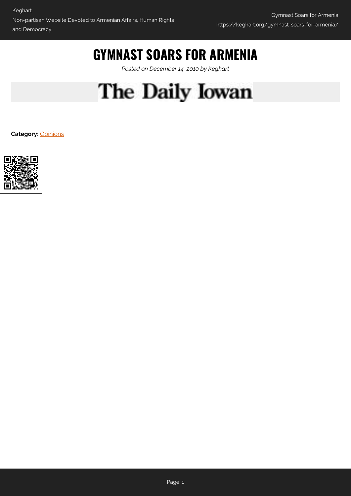## **GYMNAST SOARS FOR ARMENIA**

*Posted on December 14, 2010 by Keghart*

## The Daily Iowan

**Category:** [Opinions](https://keghart.org/category/opinions/)

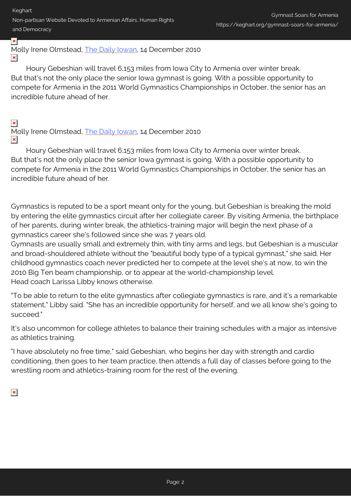Keghart Non-partisan Website Devoted to Armenian Affairs, Human Rights and Democracy

× Molly Irene Olmstead, [The Daily Iowan](http://www.dailyiowan.com/2010/12/14/Sports/20534.html), 14 December 2010  $\pmb{\times}$ 

Houry Gebeshian will travel 6,153 miles from Iowa City to Armenia over winter break. But that's not the only place the senior Iowa gymnast is going. With a possible opportunity to compete for Armenia in the 2011 World Gymnastics Championships in October, the senior has an incredible future ahead of her.

## $\pmb{\times}$

Molly Irene Olmstead, [The Daily Iowan](http://www.dailyiowan.com/2010/12/14/Sports/20534.html), 14 December 2010  $\pmb{\times}$ 

Houry Gebeshian will travel 6,153 miles from Iowa City to Armenia over winter break. But that's not the only place the senior Iowa gymnast is going. With a possible opportunity to compete for Armenia in the 2011 World Gymnastics Championships in October, the senior has an incredible future ahead of her.

Gymnastics is reputed to be a sport meant only for the young, but Gebeshian is breaking the mold by entering the elite gymnastics circuit after her collegiate career. By visiting Armenia, the birthplace of her parents, during winter break, the athletics-training major will begin the next phase of a gymnastics career she's followed since she was 7 years old.

Gymnasts are usually small and extremely thin, with tiny arms and legs, but Gebeshian is a muscular and broad-shouldered athlete without the "beautiful body type of a typical gymnast," she said. Her childhood gymnastics coach never predicted her to compete at the level she's at now, to win the 2010 Big Ten beam championship, or to appear at the world-championship level. Head coach Larissa Libby knows otherwise.

"To be able to return to the elite gymnastics after collegiate gymnastics is rare, and it's a remarkable statement," Libby said. "She has an incredible opportunity for herself, and we all know she's going to succeed."

It's also uncommon for college athletes to balance their training schedules with a major as intensive as athletics training.

"I have absolutely no free time," said Gebeshian, who begins her day with strength and cardio conditioning, then goes to her team practice, then attends a full day of classes before going to the wrestling room and athletics-training room for the rest of the evening.

 $\pmb{\times}$